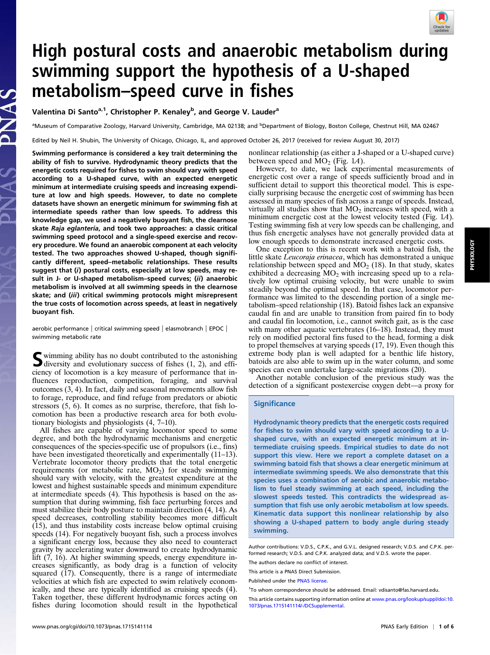## High postural costs and anaerobic metabolism during swimming support the hypothesis of a U-shaped metabolism–speed curve in fishes

Valentina Di Santo<sup>a,1</sup>, Christopher P. Kenaley<sup>b</sup>, and George V. Lauder<sup>a</sup>

<sup>a</sup>Museum of Comparative Zoology, Harvard University, Cambridge, MA 02138; and <sup>b</sup>Department of Biology, Boston College, Chestnut Hill, MA 02467

Edited by Neil H. Shubin, The University of Chicago, Chicago, IL, and approved October 26, 2017 (received for review August 30, 2017)

Swimming performance is considered a key trait determining the ability of fish to survive. Hydrodynamic theory predicts that the energetic costs required for fishes to swim should vary with speed according to a U-shaped curve, with an expected energetic minimum at intermediate cruising speeds and increasing expenditure at low and high speeds. However, to date no complete datasets have shown an energetic minimum for swimming fish at intermediate speeds rather than low speeds. To address this knowledge gap, we used a negatively buoyant fish, the clearnose skate Raja eglanteria, and took two approaches: a classic critical swimming speed protocol and a single-speed exercise and recovery procedure. We found an anaerobic component at each velocity tested. The two approaches showed U-shaped, though significantly different, speed–metabolic relationships. These results suggest that (i) postural costs, especially at low speeds, may result in J- or U-shaped metabolism–speed curves; (ii) anaerobic metabolism is involved at all swimming speeds in the clearnose skate; and (iii) critical swimming protocols might misrepresent the true costs of locomotion across speeds, at least in negatively buoyant fish.

aerobic performance | critical swimming speed | elasmobranch | EPOC | swimming metabolic rate

Summing ability has no doubt contributed to the astonishing<br>diversity and evolutionary success of fishes (1, 2), and efficiency of locomotion is a key measure of performance that influences reproduction, competition, foraging, and survival outcomes (3, 4). In fact, daily and seasonal movements allow fish to forage, reproduce, and find refuge from predators or abiotic stressors (5, 6). It comes as no surprise, therefore, that fish locomotion has been a productive research area for both evolutionary biologists and physiologists (4, 7–10).

All fishes are capable of varying locomotor speed to some degree, and both the hydrodynamic mechanisms and energetic consequences of the species-specific use of propulsors (i.e., fins) have been investigated theoretically and experimentally (11–13). Vertebrate locomotor theory predicts that the total energetic requirements (or metabolic rate,  $MO_2$ ) for steady swimming should vary with velocity, with the greatest expenditure at the lowest and highest sustainable speeds and minimum expenditure at intermediate speeds (4). This hypothesis is based on the assumption that during swimming, fish face perturbing forces and must stabilize their body posture to maintain direction (4, 14). As speed decreases, controlling stability becomes more difficult (15), and thus instability costs increase below optimal cruising speeds (14). For negatively buoyant fish, such a process involves a significant energy loss, because they also need to counteract gravity by accelerating water downward to create hydrodynamic lift (7, 16). At higher swimming speeds, energy expenditure increases significantly, as body drag is a function of velocity squared (17). Consequently, there is a range of intermediate velocities at which fish are expected to swim relatively economically, and these are typically identified as cruising speeds (4). Taken together, these different hydrodynamic forces acting on fishes during locomotion should result in the hypothetical nonlinear relationship (as either a J-shaped or a U-shaped curve) between speed and  $\widehat{MO}_2$  (Fig. 1.4).<br>However, to date, we lack experimental measurements of

energetic cost over a range of speeds sufficiently broad and in sufficient detail to support this theoretical model. This is especially surprising because the energetic cost of swimming has been assessed in many species of fish across a range of speeds. Instead, virtually all studies show that  $MO_2$  increases with speed, with a minimum energetic cost at the lowest velocity tested (Fig. 1A). Testing swimming fish at very low speeds can be challenging, and thus fish energetic analyses have not generally provided data at low enough speeds to demonstrate increased energetic costs.

One exception to this is recent work with a batoid fish, the little skate Leucoraja erinacea, which has demonstrated a unique relationship between speed and  $MO_2$  (18). In that study, skates exhibited a decreasing  $MO_2$  with increasing speed up to a relatively low optimal cruising velocity, but were unable to swim steadily beyond the optimal speed. In that case, locomotor performance was limited to the descending portion of a single metabolism–speed relationship (18). Batoid fishes lack an expansive caudal fin and are unable to transition from paired fin to body and caudal fin locomotion, i.e., cannot switch gait, as is the case with many other aquatic vertebrates (16–18). Instead, they must rely on modified pectoral fins fused to the head, forming a disk to propel themselves at varying speeds (17, 19). Even though this extreme body plan is well adapted for a benthic life history, batoids are also able to swim up in the water column, and some species can even undertake large-scale migrations (20).

Another notable conclusion of the previous study was the detection of a significant postexercise oxygen debt—a proxy for

#### **Significance**

Hydrodynamic theory predicts that the energetic costs required for fishes to swim should vary with speed according to a Ushaped curve, with an expected energetic minimum at intermediate cruising speeds. Empirical studies to date do not support this view. Here we report a complete dataset on a swimming batoid fish that shows a clear energetic minimum at intermediate swimming speeds. We also demonstrate that this species uses a combination of aerobic and anaerobic metabolism to fuel steady swimming at each speed, including the slowest speeds tested. This contradicts the widespread assumption that fish use only aerobic metabolism at low speeds. Kinematic data support this nonlinear relationship by also showing a U-shaped pattern to body angle during steady swimming.

Author contributions: V.D.S., C.P.K., and G.V.L. designed research; V.D.S. and C.P.K. performed research; V.D.S. and C.P.K. analyzed data; and V.D.S. wrote the paper.

The authors declare no conflict of interest.

This article is a PNAS Direct Submission.

Published under the [PNAS license](http://www.pnas.org/site/aboutpnas/licenses.xhtml).

<sup>&</sup>lt;sup>1</sup>To whom correspondence should be addressed. Email: [vdisanto@fas.harvard.edu](mailto:vdisanto@fas.harvard.edu).

This article contains supporting information online at [www.pnas.org/lookup/suppl/doi:10.](http://www.pnas.org/lookup/suppl/doi:10.1073/pnas.1715141114/-/DCSupplemental) [1073/pnas.1715141114/-/DCSupplemental](http://www.pnas.org/lookup/suppl/doi:10.1073/pnas.1715141114/-/DCSupplemental).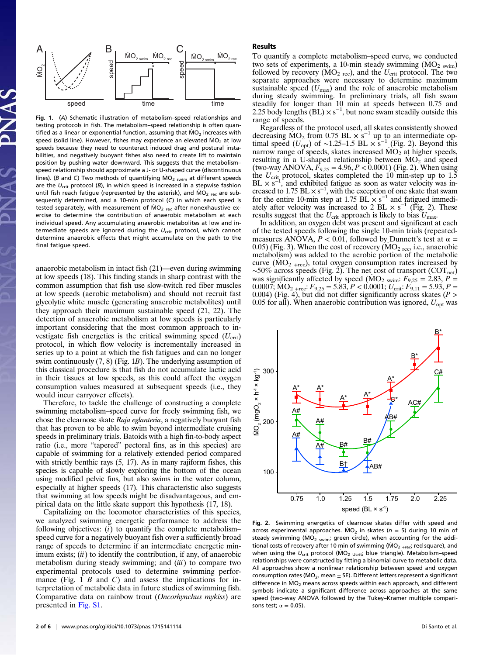

Fig. 1. (A) Schematic illustration of metabolism–speed relationships and testing protocols in fish. The metabolism–speed relationship is often quantified as a linear or exponential function, assuming that  $MO<sub>2</sub>$  increases with speed (solid line). However, fishes may experience an elevated  $MO_2$  at low speeds because they need to counteract induced drag and postural instabilities, and negatively buoyant fishes also need to create lift to maintain position by pushing water downward. This suggests that the metabolism– speed relationship should approximate a J- or U-shaped curve (discontinuous lines). (B and C) Two methods of quantifying  $MO_{2}$  swim at different speeds are the  $U_{\text{crit}}$  protocol (B), in which speed is increased in a stepwise fashion until fish reach fatigue (represented by the asterisk), and  $\dot{MO}_{2 \text{ rec}}$  are subsequently determined, and a 10-min protocol (C) in which each speed is tested separately, with measurement of  $\dot{MO}_{2 \text{ rec}}$  after nonexhaustive exercise to determine the contribution of anaerobic metabolism at each individual speed. Any accumulating anaerobic metabolites at low and intermediate speeds are ignored during the  $U_{\text{crit}}$  protocol, which cannot determine anaerobic effects that might accumulate on the path to the final fatigue speed.

anaerobic metabolism in intact fish (21)—even during swimming at low speeds (18). This finding stands in sharp contrast with the common assumption that fish use slow-twitch red fiber muscles at low speeds (aerobic metabolism) and should not recruit fast glycolytic white muscle (generating anaerobic metabolites) until they approach their maximum sustainable speed (21, 22). The detection of anaerobic metabolism at low speeds is particularly important considering that the most common approach to investigate fish energetics is the critical swimming speed  $(U_{\rm crit})$ protocol, in which flow velocity is incrementally increased in series up to a point at which the fish fatigues and can no longer swim continuously  $(7, 8)$  (Fig. 1B). The underlying assumption of this classical procedure is that fish do not accumulate lactic acid in their tissues at low speeds, as this could affect the oxygen consumption values measured at subsequent speeds (i.e., they would incur carryover effects).

Therefore, to tackle the challenge of constructing a complete swimming metabolism–speed curve for freely swimming fish, we chose the clearnose skate Raja eglanteria, a negatively buoyant fish that has proven to be able to swim beyond intermediate cruising speeds in preliminary trials. Batoids with a high fin-to-body aspect ratio (i.e., more "tapered" pectoral fins, as in this species) are capable of swimming for a relatively extended period compared with strictly benthic rays  $(5, 17)$ . As in many rajiform fishes, this species is capable of slowly exploring the bottom of the ocean using modified pelvic fins, but also swims in the water column, especially at higher speeds (17). This characteristic also suggests that swimming at low speeds might be disadvantageous, and empirical data on the little skate support this hypothesis (17, 18).

Capitalizing on the locomotor characteristics of this species, we analyzed swimming energetic performance to address the following objectives:  $(i)$  to quantify the complete metabolismspeed curve for a negatively buoyant fish over a sufficiently broad range of speeds to determine if an intermediate energetic minimum exists;  $(ii)$  to identify the contribution, if any, of anaerobic metabolism during steady swimming; and  $(iii)$  to compare two experimental protocols used to determine swimming performance (Fig. 1  $B$  and  $C$ ) and assess the implications for interpretation of metabolic data in future studies of swimming fish. Comparative data on rainbow trout (Oncorhynchus mykiss) are presented in [Fig. S1](http://www.pnas.org/lookup/suppl/doi:10.1073/pnas.1715141114/-/DCSupplemental/pnas.201715141SI.pdf?targetid=nameddest=SF1).

#### Results

To quantify a complete metabolism–speed curve, we conducted two sets of experiments, a 10-min steady swimming  $(MO<sub>2</sub>$  swim) followed by recovery ( $MO_{2 \text{ rec}}$ ), and the  $U_{\text{crit}}$  protocol. The two separate approaches were necessary to determine maximum sustainable speed  $(U_{\text{max}})$  and the role of anaerobic metabolism during steady swimming. In preliminary trials, all fish swam steadily for longer than 10 min at speeds between 0.75 and 2.25 body lengths  $(BL) \times s^{-1}$ , but none swam steadily outside this range of speeds.

Regardless of the protocol used, all skates consistently showed decreasing  $MO_2$  from 0.75 BL  $\times$  s<sup>-1</sup> up to an intermediate optimal speed ( $U_{opt}$ ) of ~1.25–1.5 BL  $\times$  s<sup>-1</sup> (Fig. 2). Beyond this narrow range of speeds, skates increased MO<sub>2</sub> at higher speeds. narrow range of speeds, skates increased  $MO<sub>2</sub>$  at higher speeds, resulting in a U-shaped relationship between  $MO_2$  and speed (two-way ANOVA,  $\bar{F}_{9,25} = 4.96, P < 0.0001$ ) (Fig. 2). When using the  $U_{\text{crit}}$  protocol, skates completed the 10 min-step up to 1.5  $BL \times s^{-1}$ , and exhibited fatigue as soon as water velocity was increased to  $1.75$  BL  $\times$  s<sup>-1</sup>, with the exception of one skate that swam for the entire 10-min step at 1.75 BL $\times$  s<sup>-1</sup> and fatigued immediately after velocity was increased to 2 BL  $\times$  s<sup>-1</sup> (Fig. 2). These results suggest that the  $U_{\text{crit}}$  approach is likely to bias  $U_{\text{max}}$ .

In addition, an oxygen debt was present and significant at each of the tested speeds following the single 10-min trials (repeatedmeasures ANOVA,  $P < 0.01$ , followed by Dunnett's test at  $\alpha =$ 0.05) (Fig. 3). When the cost of recovery ( $MO<sub>2 rec</sub>$ , i.e., anaerobic metabolism) was added to the aerobic portion of the metabolic curve  $(MO<sub>2 + rec</sub>)$ , total oxygen consumption rates increased by  $~\sim$ 50% across speeds (Fig. 2). The net cost of transport (COT<sub>net</sub>) was significantly affected by speed  $(MO_2)_{\text{swim}}$ :  $F_{9,25} = 2.83$ ,  $P = 0.0007$ :  $MO_2$ ,  $F_{9,25} = 5.83$ ,  $P < 0.0001$ :  $U_{\text{ewit}}$ :  $F_{9,11} = 5.93$ ,  $P =$  $0.0007$ ;  $\text{MO}_{2+{\text{rec}}}$ :  $F_{9,25} = 5.83$ ,  $P < 0.0001$ ;  $U_{\text{crit}}$ :  $F_{9,11} = 5.93$ ,  $P = 0.004$ ) (Fig. 4), but did not differ significantly across skates (P > 0.004) (Fig. 4), but did not differ significantly across skates ( $P >$ 0.05 for all). When anaerobic contribution was ignored,  $U_{\text{opt}}$  was



Fig. 2. Swimming energetics of clearnose skates differ with speed and across experimental approaches. MO<sub>2</sub> in skates ( $n = 5$ ) during 10 min of steady swimming ( $MO_{2-swim}$ ; green circle), when accounting for the additional costs of recovery after 10 min of swimming ( $\dot{MO}_{2 + rec}$ ; red square), and when using the  $U_{\text{crit}}$  protocol (MO<sub>2</sub> <sub>Ucrit</sub>; blue triangle). Metabolism-speed relationships were constructed by fitting a binomial curve to metabolic data. All approaches show a nonlinear relationship between speed and oxygen consumption rates (MO<sub>2</sub>, mean  $\pm$  SE). Different letters represent a significant difference in  $MO_2$  means across speeds within each approach, and different symbols indicate a significant difference across approaches at the same speed (two-way ANOVA followed by the Tukey–Kramer multiple comparisons test;  $\alpha = 0.05$ ).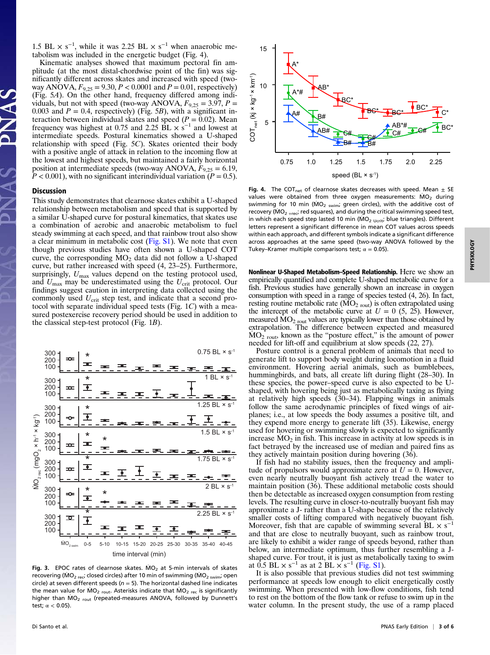1.5 BL  $\times$  s<sup>-1</sup>, while it was 2.25 BL  $\times$  s<sup>-1</sup> when anaerobic metabolism was included in the energetic budget (Fig. 4).

Kinematic analyses showed that maximum pectoral fin amplitude (at the most distal-chordwise point of the fin) was significantly different across skates and increased with speed (twoway ANOVA,  $F_{9,25} = 9.30, P < 0.0001$  and  $P = 0.01$ , respectively) (Fig. 5A). On the other hand, frequency differed among individuals, but not with speed (two-way ANOVA,  $F_{9,25} = 3.97$ ,  $P =$ 0.003 and  $P = 0.4$ , respectively) (Fig. 5B), with a significant interaction between individual skates and speed ( $P = 0.02$ ). Mean frequency was highest at 0.75 and 2.25  $\dot{BL} \times \dot{s}^{-1}$  and lowest at intermediate speeds. Postural kinematics showed a U-shaped relationship with speed (Fig. 5C). Skates oriented their body with a positive angle of attack in relation to the incoming flow at the lowest and highest speeds, but maintained a fairly horizontal position at intermediate speeds (two-way ANOVA,  $F_{9,25} = 6.19$ ,  $P < 0.001$ ), with no significant interindividual variation ( $P = 0.5$ ).

#### Discussion

This study demonstrates that clearnose skates exhibit a U-shaped relationship between metabolism and speed that is supported by a similar U-shaped curve for postural kinematics, that skates use a combination of aerobic and anaerobic metabolism to fuel steady swimming at each speed, and that rainbow trout also show a clear minimum in metabolic cost [\(Fig. S1\)](http://www.pnas.org/lookup/suppl/doi:10.1073/pnas.1715141114/-/DCSupplemental/pnas.201715141SI.pdf?targetid=nameddest=SF1). We note that even though previous studies have often shown a U-shaped COT curve, the corresponding  $MO_2$  data did not follow a U-shaped curve, but rather increased with speed (4, 23–25). Furthermore, surprisingly,  $U_{\text{max}}$  values depend on the testing protocol used, and  $U_{\text{max}}$  may be underestimated using the  $U_{\text{crit}}$  protocol. Our findings suggest caution in interpreting data collected using the commonly used  $U_{\rm crit}$  step test, and indicate that a second protocol with separate individual speed tests (Fig. 1C) with a measured postexercise recovery period should be used in addition to the classical step-test protocol (Fig. 1B).



Fig. 3. EPOC rates of clearnose skates.  $MO<sub>2</sub>$  at 5-min intervals of skates recovering ( $MO_{2 \text{ rec}}$ ; closed circles) after 10 min of swimming ( $MO_{2 \text{ swim}}$ ; open circle) at seven different speeds ( $n = 5$ ). The horizontal dashed line indicates the mean value for  $MO_{2\text{ rout}}$ . Asterisks indicate that  $MO_{2\text{ rec}}$  is significantly higher than  $MO_{2\text{ rout}}$  (repeated-measures ANOVA, followed by Dunnett's test;  $\alpha$  < 0.05).



Fig. 4. The COT<sub>net</sub> of clearnose skates decreases with speed. Mean  $\pm$  SE values were obtained from three oxygen measurements:  $\dot{M}O_2$  during swimming for 10 min ( $\dot{MO}_2$  <sub>swim</sub>; green circles), with the additive cost of recovery ( $MO_{2 + rec}$ ; red squares), and during the critical swimming speed test, in which each speed step lasted 10 min ( $MO<sub>2</sub> U<sub>crit</sub>$ ; blue triangles). Different letters represent a significant difference in mean COT values across speeds within each approach, and different symbols indicate a significant difference across approaches at the same speed (two-way ANOVA followed by the Tukey–Kramer multiple comparisons test;  $\alpha = 0.05$ ).

Nonlinear U-Shaped Metabolism–Speed Relationship. Here we show an empirically quantified and complete U-shaped metabolic curve for a fish. Previous studies have generally shown an increase in oxygen consumption with speed in a range of species tested (4, 26). In fact, resting routine metabolic rate  $(MO<sub>2</sub>_{\text{rout}})$  is often extrapolated using the intercept of the metabolic curve at  $U = 0$  (5, 25). However, measured  $\rm MO_2$  rout values are typically lower than those obtained by extrapolation. The difference between expected and measured  $\dot{MO}_{2 \text{ rout}}$ , known as the "posture effect," is the amount of power needed for lift-off and equilibrium at slow speeds (22, 27).

Posture control is a general problem of animals that need to generate lift to support body weight during locomotion in a fluid environment. Hovering aerial animals, such as bumblebees, hummingbirds, and bats, all create lift during flight (28–30). In these species, the power–speed curve is also expected to be Ushaped, with hovering being just as metabolically taxing as flying at relatively high speeds (30–34). Flapping wings in animals follow the same aerodynamic principles of fixed wings of airplanes; i.e., at low speeds the body assumes a positive tilt, and they expend more energy to generate lift (35). Likewise, energy used for hovering or swimming slowly is expected to significantly increase  $MO<sub>2</sub>$  in fish. This increase in activity at low speeds is in fact betrayed by the increased use of median and paired fins as they actively maintain position during hovering (36).

If fish had no stability issues, then the frequency and amplitude of propulsors would approximate zero at  $U = 0$ . However, even nearly neutrally buoyant fish actively tread the water to maintain position (36). These additional metabolic costs should then be detectable as increased oxygen consumption from resting levels. The resulting curve in closer-to-neutrally buoyant fish may approximate a J- rather than a U-shape because of the relatively smaller costs of lifting compared with negatively buoyant fish. Moreover, fish that are capable of swimming several  $BL \times s^{-1}$ and that are close to neutrally buoyant, such as rainbow trout, are likely to exhibit a wider range of speeds beyond, rather than below, an intermediate optimum, thus further resembling a Jshaped curve. For trout, it is just as metabolically taxing to swim at  $\dot{0.5}$  BL  $\times$  s<sup>-1</sup> as at 2 BL  $\times$  s<sup>-1</sup> [\(Fig. S1](http://www.pnas.org/lookup/suppl/doi:10.1073/pnas.1715141114/-/DCSupplemental/pnas.201715141SI.pdf?targetid=nameddest=SF1)).

It is also possible that previous studies did not test swimming performance at speeds low enough to elicit energetically costly swimming. When presented with low-flow conditions, fish tend to rest on the bottom of the flow tank or refuse to swim up in the water column. In the present study, the use of a ramp placed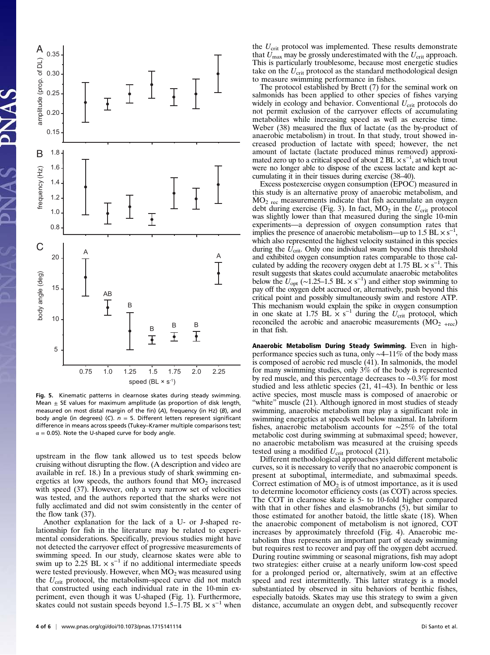

Fig. 5. Kinematic patterns in clearnose skates during steady swimming. Mean  $\pm$  SE values for maximum amplitude (as proportion of disk length, measured on most distal margin of the fin) (A), frequency (in Hz) (B), and body angle (in degrees) (C).  $n = 5$ . Different letters represent significant difference in means across speeds (Tukey–Kramer multiple comparisons test;  $\alpha$  = 0.05). Note the U-shaped curve for body angle.

upstream in the flow tank allowed us to test speeds below cruising without disrupting the flow. (A description and video are available in ref. 18.) In a previous study of shark swimming energetics at low speeds, the authors found that  $MO_2$  increased with speed (37). However, only a very narrow set of velocities was tested, and the authors reported that the sharks were not fully acclimated and did not swim consistently in the center of the flow tank (37).

Another explanation for the lack of a U- or J-shaped relationship for fish in the literature may be related to experimental considerations. Specifically, previous studies might have not detected the carryover effect of progressive measurements of swimming speed. In our study, clearnose skates were able to swim up to 2.25 BL  $\times$  s<sup>-1</sup> if no additional intermediate speeds were tested previously. However, when  $MO_2$  was measured using the  $U_{\rm crit}$  protocol, the metabolism–speed curve did not match that constructed using each individual rate in the 10-min experiment, even though it was U-shaped (Fig. 1). Furthermore, skates could not sustain speeds beyond  $1.5-1.75$  BL  $\times$  s<sup>-1</sup> when

the  $U_{\text{crit}}$  protocol was implemented. These results demonstrate that  $U_{\text{max}}$  may be grossly underestimated with the  $U_{\text{crit}}$  approach. This is particularly troublesome, because most energetic studies take on the  $U_{\text{crit}}$  protocol as the standard methodological design to measure swimming performance in fishes.

The protocol established by Brett (7) for the seminal work on salmonids has been applied to other species of fishes varying widely in ecology and behavior. Conventional  $U_{\text{crit}}$  protocols do not permit exclusion of the carryover effects of accumulating metabolites while increasing speed as well as exercise time. Weber (38) measured the flux of lactate (as the by-product of anaerobic metabolism) in trout. In that study, trout showed increased production of lactate with speed; however, the net amount of lactate (lactate produced minus removed) approximated zero up to a critical speed of about 2 BL  $\times$  s<sup>-1</sup>, at which trout were no longer able to dispose of the excess lactate and kept accumulating it in their tissues during exercise (38–40).

Excess postexercise oxygen consumption (EPOC) measured in this study is an alternative proxy of anaerobic metabolism, and  $MO<sub>2 rec</sub>$  measurements indicate that fish accumulate an oxygen debt during exercise (Fig. 3). In fact,  $MO_2$  in the  $U_{\text{crit}}$  protocol was slightly lower than that measured during the single 10-min experiments—a depression of oxygen consumption rates that implies the presence of anaerobic metabolism—up to 1.5 BL  $\times$  s<sup>-1</sup>, which also represented the highest velocity sustained in this species during the  $U_{\text{crit}}$ . Only one individual swam beyond this threshold and exhibited oxygen consumption rates comparable to those calculated by adding the recovery oxygen debt at 1.75 BL  $\times$  s<sup>-1</sup>. This result suggests that skates could accumulate anaerobic metabolites below the  $U_{\text{opt}}$  (~1.25–1.5 BL  $\times$  s<sup>-1</sup>) and either stop swimming to pay off the oxygen debt accrued or, alternatively, push beyond this pay off the oxygen debt accrued or, alternatively, push beyond this critical point and possibly simultaneously swim and restore ATP. This mechanism would explain the spike in oxygen consumption in one skate at 1.75 BL  $\times$  s<sup>-1</sup> during the  $U_{\text{crit}}$  protocol, which reconciled the aerobic and anaerobic measurements (MO<sub>2</sub> too) reconciled the aerobic and anaerobic measurements  $(MO<sub>2 +rec</sub>)$ in that fish.

Anaerobic Metabolism During Steady Swimming. Even in highperformance species such as tuna, only ∼4–11% of the body mass is composed of aerobic red muscle (41). In salmonids, the model for many swimming studies, only 3% of the body is represented by red muscle, and this percentage decreases to ∼0.3% for most studied and less athletic species (21, 41–43). In benthic or less active species, most muscle mass is composed of anaerobic or "white" muscle (21). Although ignored in most studies of steady swimming, anaerobic metabolism may play a significant role in swimming energetics at speeds well below maximal. In labriform fishes, anaerobic metabolism accounts for ∼25% of the total metabolic cost during swimming at submaximal speed; however, no anaerobic metabolism was measured at the cruising speeds tested using a modified  $U_{\rm crit}$  protocol (21).

Different methodological approaches yield different metabolic curves, so it is necessary to verify that no anaerobic component is present at suboptimal, intermediate, and submaximal speeds. Correct estimation of  $MO_2$  is of utmost importance, as it is used to determine locomotor efficiency costs (as COT) across species. The COT in clearnose skate is 5- to 10-fold higher compared with that in other fishes and elasmobranchs  $(5)$ , but similar to those estimated for another batoid, the little skate (18). When the anaerobic component of metabolism is not ignored, COT increases by approximately threefold (Fig. 4). Anaerobic metabolism thus represents an important part of steady swimming but requires rest to recover and pay off the oxygen debt accrued. During routine swimming or seasonal migrations, fish may adopt two strategies: either cruise at a nearly uniform low-cost speed for a prolonged period or, alternatively, swim at an effective speed and rest intermittently. This latter strategy is a model substantiated by observed in situ behaviors of benthic fishes, especially batoids. Skates may use this strategy to swim a given distance, accumulate an oxygen debt, and subsequently recover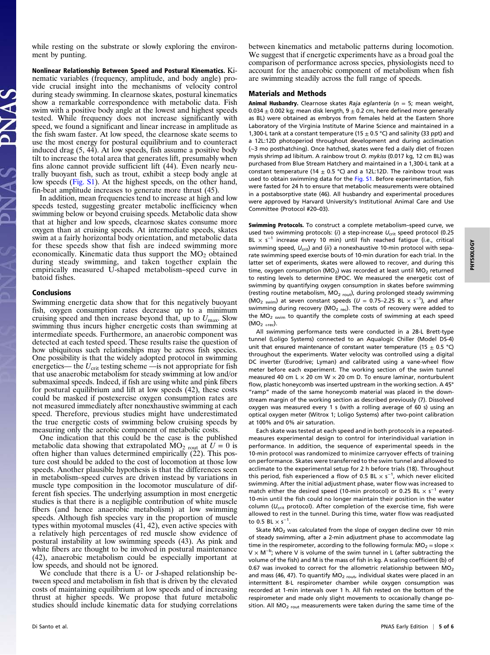while resting on the substrate or slowly exploring the environment by punting.

Nonlinear Relationship Between Speed and Postural Kinematics. Kinematic variables (frequency, amplitude, and body angle) provide crucial insight into the mechanisms of velocity control during steady swimming. In clearnose skates, postural kinematics show a remarkable correspondence with metabolic data. Fish swim with a positive body angle at the lowest and highest speeds tested. While frequency does not increase significantly with speed, we found a significant and linear increase in amplitude as the fish swam faster. At low speed, the clearnose skate seems to use the most energy for postural equilibrium and to counteract induced drag (5, 44). At low speeds, fish assume a positive body tilt to increase the total area that generates lift, presumably when fins alone cannot provide sufficient lift (44). Even nearly neutrally buoyant fish, such as trout, exhibit a steep body angle at low speeds [\(Fig. S1](http://www.pnas.org/lookup/suppl/doi:10.1073/pnas.1715141114/-/DCSupplemental/pnas.201715141SI.pdf?targetid=nameddest=SF1)). At the highest speeds, on the other hand, fin-beat amplitude increases to generate more thrust (45).

In addition, mean frequencies tend to increase at high and low speeds tested, suggesting greater metabolic inefficiency when swimming below or beyond cruising speeds. Metabolic data show that at higher and low speeds, clearnose skates consume more oxygen than at cruising speeds. At intermediate speeds, skates swim at a fairly horizontal body orientation, and metabolic data for these speeds show that fish are indeed swimming more economically. Kinematic data thus support the  $MO_2$  obtained during steady swimming, and taken together explain the empirically measured U-shaped metabolism–speed curve in batoid fishes.

#### Conclusions

Swimming energetic data show that for this negatively buoyant fish, oxygen consumption rates decrease up to a minimum cruising speed and then increase beyond that, up to  $U_{\text{max}}$ . Slow swimming thus incurs higher energetic costs than swimming at intermediate speeds. Furthermore, an anaerobic component was detected at each tested speed. These results raise the question of how ubiquitous such relationships may be across fish species. One possibility is that the widely adopted protocol in swimming energetics— the  $U_{\rm crit}$  testing scheme —is not appropriate for fish that use anaerobic metabolism for steady swimming at low and/or submaximal speeds. Indeed, if fish are using white and pink fibers for postural equilibrium and lift at low speeds (42), these costs could be masked if postexercise oxygen consumption rates are not measured immediately after nonexhaustive swimming at each speed. Therefore, previous studies might have underestimated the true energetic costs of swimming below cruising speeds by measuring only the aerobic component of metabolic costs.

One indication that this could be the case is the published metabolic data showing that extrapolated MO<sub>2</sub> rout at  $U = 0$  is often higher than values determined empirically (22). This posture cost should be added to the cost of locomotion at those low speeds. Another plausible hypothesis is that the differences seen in metabolism–speed curves are driven instead by variations in muscle type composition in the locomotor musculature of different fish species. The underlying assumption in most energetic studies is that there is a negligible contribution of white muscle fibers (and hence anaerobic metabolism) at low swimming speeds. Although fish species vary in the proportion of muscle types within myotomal muscles (41, 42), even active species with a relatively high percentages of red muscle show evidence of postural instability at low swimming speeds (43). As pink and white fibers are thought to be involved in postural maintenance (42), anaerobic metabolism could be especially important at low speeds, and should not be ignored.

We conclude that there is a U- or J-shaped relationship between speed and metabolism in fish that is driven by the elevated costs of maintaining equilibrium at low speeds and of increasing thrust at higher speeds. We propose that future metabolic studies should include kinematic data for studying correlations between kinematics and metabolic patterns during locomotion. We suggest that if energetic experiments have as a broad goal the comparison of performance across species, physiologists need to account for the anaerobic component of metabolism when fish are swimming steadily across the full range of speeds.

#### Materials and Methods

Animal Husbandry. Clearnose skates Raja eglanteria ( $n = 5$ ; mean weight, 0.034  $\pm$  0.002 kg; mean disk length, 9  $\pm$  0.2 cm, here defined more generally as BL) were obtained as embryos from females held at the Eastern Shore Laboratory of the Virginia Institute of Marine Science and maintained in a 1,300-L tank at a constant temperature (15  $\pm$  0.5 °C) and salinity (33 ppt) and a 12L:12D photoperiod throughout development and during acclimation (∼3 mo posthatching). Once hatched, skates were fed a daily diet of frozen mysis shrimp ad libitum. A rainbow trout O. mykiss (0.017 kg, 12 cm BL) was purchased from Blue Stream Hatchery and maintained in a 1,300-L tank at a constant temperature (14  $\pm$  0.5 °C) and a 12L:12D. The rainbow trout was used to obtain swimming data for the [Fig. S1.](http://www.pnas.org/lookup/suppl/doi:10.1073/pnas.1715141114/-/DCSupplemental/pnas.201715141SI.pdf?targetid=nameddest=SF1) Before experimentation, fish were fasted for 24 h to ensure that metabolic measurements were obtained in a postabsorptive state (46). All husbandry and experimental procedures were approved by Harvard University's Institutional Animal Care and Use Committee (Protocol #20–03).

Swimming Protocols. To construct a complete metabolism–speed curve, we used two swimming protocols: (i) a step-increase  $U_{\text{crit}}$  speed protocol (0.25 BL  $\times$  s<sup>-1</sup> increase every 10 min) until fish reached fatigue (i.e., critical swimming speed,  $U_{\text{crit}}$ ) and (ii) a nonexhaustive 10-min protocol with separate swimming speed exercise bouts of 10-min duration for each trial. In the latter set of experiments, skates were allowed to recover, and during this time, oxygen consumption ( $MO_2$ ) was recorded at least until  $MO_2$  returned to resting levels to determine EPOC. We measured the energetic cost of swimming by quantifying oxygen consumption in skates before swimming (resting routine metabolism, MO<sub>2 rout</sub>), during prolonged steady swimming ( $\dot{M}O_2$  <sub>swim</sub>) at seven constant speeds ( $U = 0.75-2.25$  BL  $\times$  s<sup>-1</sup>), and after swimming during recovery ( $MO_{2 \text{ rec}}$ ). The costs of recovery were added to the  $MO_{2-swin}$  to quantify the complete costs of swimming at each speed  $(MO<sub>2 + rec</sub>).$ 

All swimming performance tests were conducted in a 28-L Brett-type tunnel (Loligo Systems) connected to an Aqualogic Chiller (Model DS-4) unit that ensured maintenance of constant water temperature (15  $\pm$  0.5 °C) throughout the experiments. Water velocity was controlled using a digital DC inverter (Eurodrive; Lyman) and calibrated using a vane-wheel flow meter before each experiment. The working section of the swim tunnel measured 40 cm L  $\times$  20 cm W  $\times$  20 cm D. To ensure laminar, nonturbulent flow, plastic honeycomb was inserted upstream in the working section. A 45° "ramp" made of the same honeycomb material was placed in the downstream margin of the working section as described previously (7). Dissolved oxygen was measured every 1 s (with a rolling average of 60 s) using an optical oxygen meter (Witrox 1; Loligo Systems) after two-point calibration at 100% and 0% air saturation.

Each skate was tested at each speed and in both protocols in a repeatedmeasures experimental design to control for interindividual variation in performance. In addition, the sequence of experimental speeds in the 10-min protocol was randomized to minimize carryover effects of training on performance. Skates were transferred to the swim tunnel and allowed to acclimate to the experimental setup for 2 h before trials (18). Throughout this period, fish experienced a flow of 0.5 BL  $\times$  s<sup>-1</sup>, which never elicited swimming. After the initial adjustment phase, water flow was increased to match either the desired speed (10-min protocol) or 0.25 BL  $\times$  s<sup>-1</sup> every 10-min until the fish could no longer maintain their position in the water column ( $U_{\text{crit}}$  protocol). After completion of the exercise time, fish were allowed to rest in the tunnel. During this time, water flow was readjusted to 0.5 BL  $\times$  s<sup>-1</sup>.

Skate  $MO<sub>2</sub>$  was calculated from the slope of oxygen decline over 10 min of steady swimming, after a 2-min adjustment phase to accommodate lag time in the respirometer, according to the following formula:  $\dot{MO}_2$  = slope  $\times$ V × M<sup>-b</sup>; where V is volume of the swim tunnel in L (after subtracting the volume of the fish) and M is the mass of fish in kg. A scaling coefficient (b) of 0.67 was invoked to correct for the allometric relationship between  $\dot{MO}_2$ and mass (46, 47). To quantify  $MO_{2\text{ root}}$ , individual skates were placed in an intermittent 8-L respirometer chamber while oxygen consumption was recorded at 1-min intervals over 1 h. All fish rested on the bottom of the respirometer and made only slight movements to occasionally change position. All  $MO_{2\text{ route}}$  measurements were taken during the same time of the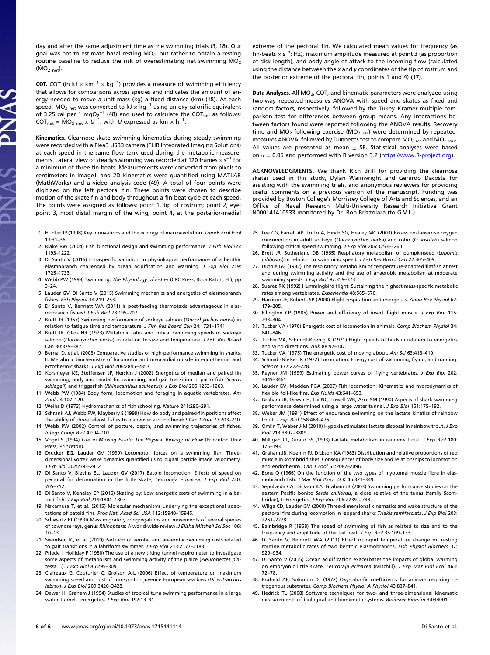day and after the same adjustment time as the swimming trials (3, 18). Our goal was not to estimate basal resting  $MO_{2}$ , but rather to obtain a resting routine baseline to reduce the risk of overestimating net swimming  $MO_2$  $(MO<sub>2 net</sub>)$ .

**COT.** COT (in kJ  $\times$  km<sup>-1</sup>  $\times$  kg<sup>-1</sup>) provides a measure of swimming efficiency that allows for comparisons across species and indicates the amount of energy needed to move a unit mass (kg) a fixed distance (km) (18). At each speed, MO<sub>2 net</sub> was converted to kJ  $\times$  kg<sup>-1</sup> using an oxy-calorific equivalent of 3.25 cal per 1 mgO2<sup>-1</sup> (48) and used to calculate the COT<sub>net</sub> as follows: COT<sub>net</sub> =  $\dot{M}O_2$  <sub>net</sub>  $\times U^{-1}$ , with U expressed as km  $\times$  h<sup>-1</sup>.

Kinematics. Clearnose skate swimming kinematics during steady swimming were recorded with a Flea3 USB3 camera (FLIR Integrated Imaging Solutions) at each speed in the same flow tank used during the metabolic measurements. Lateral view of steady swimming was recorded at 120 frames  $\times$  s $^{-1}$  for a minimum of three fin-beats. Measurements were converted from pixels to centimeters in ImageJ, and 2D kinematics were quantified using MATLAB (MathWorks) and a video analysis code (49). A total of four points were digitized on the left pectoral fin. These points were chosen to describe motion of the skate fin and body throughout a fin-beat cycle at each speed. The points were assigned as follows: point 1, tip of rostrum; point 2, eye; point 3, most distal margin of the wing; point 4, at the posterior-medial

- 1. Hunter JP (1998) Key innovations and the ecology of macroevolution. Trends Ecol Evol 13:31–36.
- 2. Blake RW (2004) Fish functional design and swimming performance. J Fish Biol 65: 1193–1222.
- 3. Di Santo V (2016) Intraspecific variation in physiological performance of a benthic elasmobranch challenged by ocean acidification and warming. J Exp Biol 219: 1725–1733.
- 4. Webb PW (1998) Swimming. The Physiology of Fishes (CRC Press, Boca Raton, FL), pp 3–24.
- 5. Lauder GV, Di Santo V (2015) Swimming mechanics and energetics of elasmobranch fishes. Fish Physiol 34:219–253.
- 6. Di Santo V, Bennett WA (2011) Is post-feeding thermotaxis advantageous in elasmobranch fishes? J Fish Biol 78:195–207.
- 7. Brett JR (1967) Swimming performance of sockeye salmon (Oncorhynchus nerka) in relation to fatigue time and temperature. J Fish Res Board Can 24:1731–1741.
- 8. Brett JR, Glass NR (1973) Metabolic rates and critical swimming speeds of sockeye salmon (Oncorhynchus nerka) in relation to size and temperature. J Fish Res Board Can 30:379–387.
- 9. Bernal D, et al. (2003) Comparative studies of high-performance swimming in sharks, II: Metabolic biochemistry of locomotor and myocardial muscle in endothermic and ectothermic sharks. J Exp Biol 206:2845-2857.
- 10. Korsmeyer KE, Steffensen JF, Herskin J (2002) Energetics of median and paired fin swimming, body and caudal fin swimming, and gait transition in parrotfish (Scarus schlegeli) and triggerfish (Rhinecanthus aculeatus). J Exp Biol 205:1253–1263.
- 11. Webb PW (1984) Body form, locomotion and foraging in aquatic vertebrates. Am Zool 24:107–120.
- 12. Weihs D (1973) Hydromechanics of fish schooling. Nature 241:290–291.
- 13. Schrank AJ, Webb PW, Mayberry S (1999) How do body and paired-fin positions affect the ability of three teleost fishes to maneuver around bends? Can J Zool 77:203–210.
- 14. Webb PW (2002) Control of posture, depth, and swimming trajectories of fishes. Integr Comp Biol 42:94–101.
- 15. Vogel S (1994) Life in Moving Fluids: The Physical Biology of Flow (Princeton Univ Press, Princeton).
- 16. Drucker EG, Lauder GV (1999) Locomotor forces on a swimming fish: Threedimensional vortex wake dynamics quantified using digital particle image velocimetry. J Exp Biol 202:2393–2412.
- 17. Di Santo V, Blevins EL, Lauder GV (2017) Batoid locomotion: Effects of speed on pectoral fin deformation in the little skate, Leucoraja erinacea. J Exp Biol 220: 705–712.
- 18. Di Santo V, Kenaley CP (2016) Skating by: Low energetic costs of swimming in a batoid fish. J Exp Biol 219:1804–1807.
- 19. Nakamura T, et al. (2015) Molecular mechanisms underlying the exceptional adaptations of batoid fins. Proc Natl Acad Sci USA 112:15940–15945.
- 20. Schwartz FJ (1990) Mass migratory congregations and movements of several species of cownose rays, genus Rhinoptera: A world-wide review. J Elisha Mitchell Sci Soc 106: 10–13.
- 21. Svendsen JC, et al. (2010) Partition of aerobic and anaerobic swimming costs related to gait transitions in a labriform swimmer. J Exp Biol 213:2177–2183.
- 22. Priede I, Holliday F (1980) The use of a new tilting tunnel respirometer to investigate some aspects of metabolism and swimming activity of the plaice (Pleuronectes platessa L.). J Exp Biol 85:295–309.
- 23. Claireaux G, Couturier C, Groison A-L (2006) Effect of temperature on maximum swimming speed and cost of transport in juvenile European sea bass (Dicentrarchus labrax). J Exp Biol 209:3420–3428.
- 24. Dewar H, Graham J (1994) Studies of tropical tuna swimming performance in a large water tunnel-energetics. J Exp Biol 192:13-31.

extreme of the pectoral fin. We calculated mean values for frequency (as fin-beats  $\times$  s<sup>-1</sup>; Hz), maximum amplitude measured at point 3 (as proportion of disk length), and body angle of attack to the incoming flow (calculated using the distance between the  $x$  and  $y$  coordinates of the tip of rostrum and the posterior extreme of the pectoral fin, points 1 and 4) (17).

Data Analyses. All  $MO<sub>2</sub>$ , COT, and kinematic parameters were analyzed using two-way repeated-measures ANOVA with speed and skates as fixed and random factors, respectively, followed by the Tukey–Kramer multiple comparison test for differences between group means. Any interactions between factors found were reported following the ANOVA results. Recovery time and  $MO_2$  following exercise (MO<sub>2 rec</sub>) were determined by repeatedmeasures ANOVA, followed by Dunnett's test to compare  $MO_{2 \text{ rec}}$  and  $MO_{2 \text{ root}}$ . All values are presented as mean  $\pm$  SE. Statistical analyses were based on  $\alpha = 0.05$  and performed with R version 3.2 (<https://www.R-project.org>).

ACKNOWLEDGMENTS. We thank Rich Brill for providing the clearnose skates used in this study, Dylan Wainwright and Gerardo Dacosta for assisting with the swimming trials, and anonymous reviewers for providing useful comments on a previous version of the manuscript. Funding was provided by Boston College's Morrissey College of Arts and Sciences, and an Office of Naval Research Multi-University Research Initiative Grant N000141410533 monitored by Dr. Bob Brizzolara (to G.V.L.).

- 25. Lee CG, Farrell AP, Lotto A, Hinch SG, Healey MC (2003) Excess post-exercise oxygen consumption in adult sockeye (Oncorhynchus nerka) and coho (O. kisutch) salmon following critical speed swimming. J Exp Biol 206:3253–3260.
- 26. Brett JR, Sutherland DB (1965) Respiratory metabolism of pumpkinseed (Lepomis gibbosus) in relation to swimming speed. J Fish Res Board Can 22:405–409.
- 27. Duthie GG (1982) The respiratory metabolism of temperature-adapted flatfish at rest and during swimming activity and the use of anaerobic metabolism at moderate swimming speeds. J Exp Biol 97:359-373.
- 28. Suarez RK (1992) Hummingbird flight: Sustaining the highest mass-specific metabolic rates among vertebrates. Experientia 48:565–570.
- 29. Harrison JF, Roberts SP (2000) Flight respiration and energetics. Annu Rev Physiol 62: 179–205.
- 30. Ellington CP (1985) Power and efficiency of insect flight muscle. J Exp Biol 115: 293–304.
- 31. Tucker VA (1970) Energetic cost of locomotion in animals. Comp Biochem Physiol 34: 841–846.
- 32. Tucker VA, Schmidt-Koenig K (1971) Flight speeds of birds in relation to energetics and wind directions. Auk 88:97–107.
- 33. Tucker VA (1975) The energetic cost of moving about. Am Sci 63:413–419.
- 34. Schmidt-Nielsen K (1972) Locomotion: Energy cost of swimming, flying, and running. Science 177:222–228.
- 35. Rayner JM (1999) Estimating power curves of flying vertebrates. J Exp Biol 202: 3449–3461.
- 36. Lauder GV, Madden PGA (2007) Fish locomotion: Kinematics and hydrodynamics of flexible foil-like fins. Exp Fluids 43:641-653.
- 37. Graham JB, Dewar H, Lai NC, Lowell WR, Arce SM (1990) Aspects of shark swimming performance determined using a large water tunnel. J Exp Biol 151:175–192.
- 38. Weber JM (1991) Effect of endurance swimming on the lactate kinetics of rainbow trout. J Exp Biol 158:463–476.
- 39. Omlin T, Weber J-M (2010) Hypoxia stimulates lactate disposal in rainbow trout. J Exp Biol 213:3802–3809.
- 40. Milligan CL, Girard SS (1993) Lactate metabolism in rainbow trout. J Exp Biol 180: 175–193.
- 41. Graham JB, Koehrn FJ, Dickson KA (1983) Distribution and relative proportions of red muscle in scombrid fishes: Consequences of body size and relationships to locomotion and endothermy. Can J Zool 61:2087–2096.
- 42. Bone Q (1966) On the function of the two types of myotomal muscle fibre in elasmobranch fish. J Mar Biol Assoc U K 46:321–349.
- 43. Sepulveda CA, Dickson KA, Graham JB (2003) Swimming performance studies on the eastern Pacific bonito Sarda chiliensis, a close relative of the tunas (family Scombridae), I: Energetics. J Exp Biol 206:2739–2748.
- 44. Wilga CD, Lauder GV (2000) Three-dimensional kinematics and wake structure of the pectoral fins during locomotion in leopard sharks Triakis semifasciata. J Exp Biol 203: 2261–2278.
- 45. Bainbridge R (1958) The speed of swimming of fish as related to size and to the frequency and amplitude of the tail beat. J Exp Biol 35:109–133.
- 46. Di Santo V, Bennett WA (2011) Effect of rapid temperature change on resting routine metabolic rates of two benthic elasmobranchs. Fish Physiol Biochem 37: 929–934.
- 47. Di Santo V (2015) Ocean acidification exacerbates the impacts of global warming on embryonic little skate, Leucoraja erinacea (Mitchill). J Exp Mar Biol Ecol 463: 72–78.
- 48. Brafield AE, Solomon DJ (1972) Oxy-calorific coefficients for animals respiring nitrogenous substrates. Comp Biochem Physiol A Physiol 43:837–841.
- 49. Hedrick TL (2008) Software techniques for two- and three-dimensional kinematic measurements of biological and biomimetic systems. Bioinspir Biomim 3:034001.